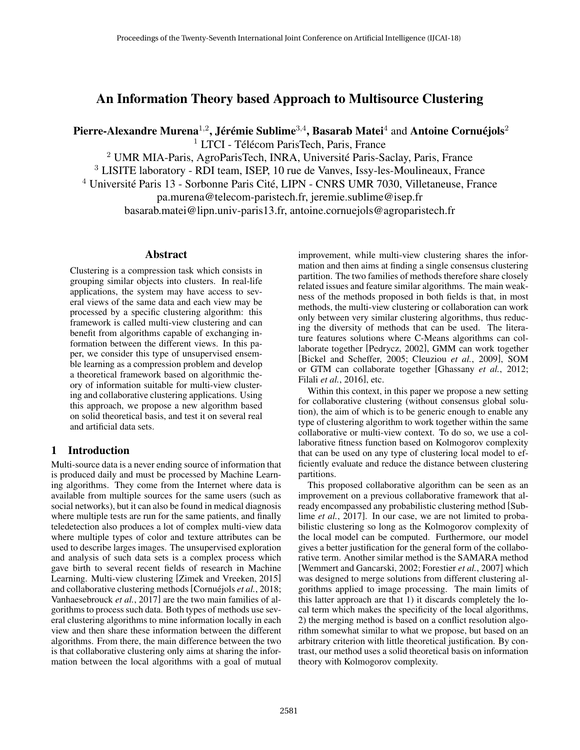# An Information Theory based Approach to Multisource Clustering

Pierre-Alexandre Murena $^{1,2}$ , Jérémie Sublime $^{3,4}$ , Basarab Matei $^4$  and Antoine Cornuéjols $^2$ 

 $1$  LTCI - Télécom ParisTech, Paris, France

<sup>2</sup> UMR MIA-Paris, AgroParisTech, INRA, Université Paris-Saclay, Paris, France

<sup>3</sup> LISITE laboratory - RDI team, ISEP, 10 rue de Vanves, Issy-les-Moulineaux, France

 $4$  Université Paris 13 - Sorbonne Paris Cité, LIPN - CNRS UMR 7030, Villetaneuse, France

pa.murena@telecom-paristech.fr, jeremie.sublime@isep.fr

basarab.matei@lipn.univ-paris13.fr, antoine.cornuejols@agroparistech.fr

## Abstract

Clustering is a compression task which consists in grouping similar objects into clusters. In real-life applications, the system may have access to several views of the same data and each view may be processed by a specific clustering algorithm: this framework is called multi-view clustering and can benefit from algorithms capable of exchanging information between the different views. In this paper, we consider this type of unsupervised ensemble learning as a compression problem and develop a theoretical framework based on algorithmic theory of information suitable for multi-view clustering and collaborative clustering applications. Using this approach, we propose a new algorithm based on solid theoretical basis, and test it on several real and artificial data sets.

# 1 Introduction

Multi-source data is a never ending source of information that is produced daily and must be processed by Machine Learning algorithms. They come from the Internet where data is available from multiple sources for the same users (such as social networks), but it can also be found in medical diagnosis where multiple tests are run for the same patients, and finally teledetection also produces a lot of complex multi-view data where multiple types of color and texture attributes can be used to describe larges images. The unsupervised exploration and analysis of such data sets is a complex process which gave birth to several recent fields of research in Machine Learning. Multi-view clustering [Zimek and Vreeken, 2015] and collaborative clustering methods [Cornuéjols et al., 2018; Vanhaesebrouck *et al.*, 2017] are the two main families of algorithms to process such data. Both types of methods use several clustering algorithms to mine information locally in each view and then share these information between the different algorithms. From there, the main difference between the two is that collaborative clustering only aims at sharing the information between the local algorithms with a goal of mutual

improvement, while multi-view clustering shares the information and then aims at finding a single consensus clustering partition. The two families of methods therefore share closely related issues and feature similar algorithms. The main weakness of the methods proposed in both fields is that, in most methods, the multi-view clustering or collaboration can work only between very similar clustering algorithms, thus reducing the diversity of methods that can be used. The literature features solutions where C-Means algorithms can collaborate together [Pedrycz, 2002], GMM can work together [Bickel and Scheffer, 2005; Cleuziou *et al.*, 2009], SOM or GTM can collaborate together [Ghassany *et al.*, 2012; Filali *et al.*, 2016], etc.

Within this context, in this paper we propose a new setting for collaborative clustering (without consensus global solution), the aim of which is to be generic enough to enable any type of clustering algorithm to work together within the same collaborative or multi-view context. To do so, we use a collaborative fitness function based on Kolmogorov complexity that can be used on any type of clustering local model to efficiently evaluate and reduce the distance between clustering partitions.

This proposed collaborative algorithm can be seen as an improvement on a previous collaborative framework that already encompassed any probabilistic clustering method [Sublime *et al.*, 2017]. In our case, we are not limited to probabilistic clustering so long as the Kolmogorov complexity of the local model can be computed. Furthermore, our model gives a better justification for the general form of the collaborative term. Another similar method is the SAMARA method [Wemmert and Gancarski, 2002; Forestier *et al.*, 2007] which was designed to merge solutions from different clustering algorithms applied to image processing. The main limits of this latter approach are that 1) it discards completely the local term which makes the specificity of the local algorithms, 2) the merging method is based on a conflict resolution algorithm somewhat similar to what we propose, but based on an arbitrary criterion with little theoretical justification. By contrast, our method uses a solid theoretical basis on information theory with Kolmogorov complexity.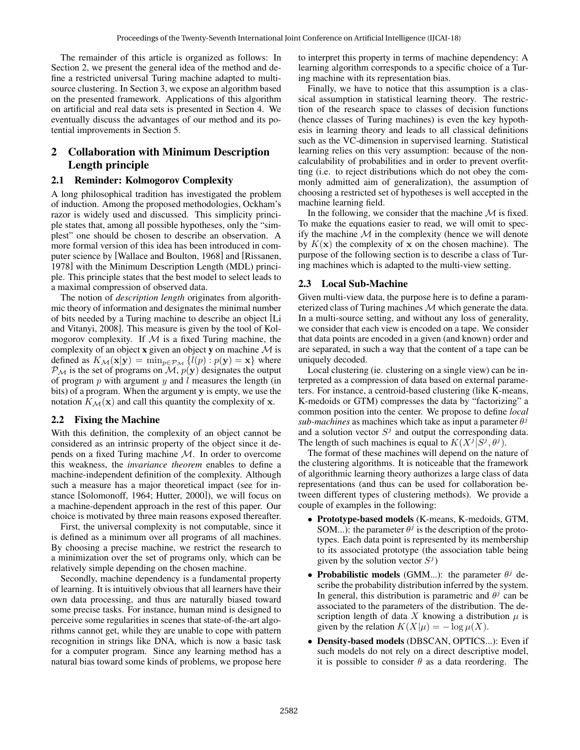The remainder of this article is organized as follows: In Section 2, we present the general idea of the method and define a restricted universal Turing machine adapted to multisource clustering. In Section 3, we expose an algorithm based on the presented framework. Applications of this algorithm on artificial and real data sets is presented in Section 4. We eventually discuss the advantages of our method and its potential improvements in Section 5.

# 2 Collaboration with Minimum Description Length principle

### 2.1 Reminder: Kolmogorov Complexity

A long philosophical tradition has investigated the problem of induction. Among the proposed methodologies, Ockham's razor is widely used and discussed. This simplicity principle states that, among all possible hypotheses, only the "simplest" one should be chosen to describe an observation. A more formal version of this idea has been introduced in computer science by [Wallace and Boulton, 1968] and [Rissanen, 1978] with the Minimum Description Length (MDL) principle. This principle states that the best model to select leads to a maximal compression of observed data.

The notion of *description length* originates from algorithmic theory of information and designates the minimal number of bits needed by a Turing machine to describe an object [Li and Vitanyi, 2008]. This measure is given by the tool of Kolmogorov complexity. If  $M$  is a fixed Turing machine, the complexity of an object **x** given an object **y** on machine  $M$  is defined as  $K_{\mathcal{M}}(\mathbf{x}|\mathbf{y}) = \min_{p \in \mathcal{P}_{\mathcal{M}}} \{ l(p) : p(\mathbf{y}) = \mathbf{x} \}$  where  $P_M$  is the set of programs on  $M$ ,  $p(y)$  designates the output of program  $p$  with argument  $y$  and  $l$  measures the length (in bits) of a program. When the argument y is empty, we use the notation  $K_{\mathcal{M}}(\mathbf{x})$  and call this quantity the complexity of x.

## 2.2 Fixing the Machine

With this definition, the complexity of an object cannot be considered as an intrinsic property of the object since it depends on a fixed Turing machine M. In order to overcome this weakness, the *invariance theorem* enables to define a machine-independent definition of the complexity. Although such a measure has a major theoretical impact (see for instance [Solomonoff, 1964; Hutter, 2000]), we will focus on a machine-dependent approach in the rest of this paper. Our choice is motivated by three main reasons exposed thereafter.

First, the universal complexity is not computable, since it is defined as a minimum over all programs of all machines. By choosing a precise machine, we restrict the research to a minimization over the set of programs only, which can be relatively simple depending on the chosen machine.

Secondly, machine dependency is a fundamental property of learning. It is intuitively obvious that all learners have their own data processing, and thus are naturally biased toward some precise tasks. For instance, human mind is designed to perceive some regularities in scenes that state-of-the-art algorithms cannot get, while they are unable to cope with pattern recognition in strings like DNA, which is now a basic task for a computer program. Since any learning method has a natural bias toward some kinds of problems, we propose here to interpret this property in terms of machine dependency: A learning algorithm corresponds to a specific choice of a Turing machine with its representation bias.

Finally, we have to notice that this assumption is a classical assumption in statistical learning theory. The restriction of the research space to classes of decision functions (hence classes of Turing machines) is even the key hypothesis in learning theory and leads to all classical definitions such as the VC-dimension in supervised learning. Statistical learning relies on this very assumption: because of the noncalculability of probabilities and in order to prevent overfitting (i.e. to reject distributions which do not obey the commonly admitted aim of generalization), the assumption of choosing a restricted set of hypotheses is well accepted in the machine learning field.

In the following, we consider that the machine  $M$  is fixed. To make the equations easier to read, we will omit to specify the machine  $M$  in the complexity (hence we will denote by  $K(\mathbf{x})$  the complexity of x on the chosen machine). The purpose of the following section is to describe a class of Turing machines which is adapted to the multi-view setting.

# 2.3 Local Sub-Machine

Given multi-view data, the purpose here is to define a parameterized class of Turing machines M which generate the data. In a multi-source setting, and without any loss of generality, we consider that each view is encoded on a tape. We consider that data points are encoded in a given (and known) order and are separated, in such a way that the content of a tape can be uniquely decoded.

Local clustering (ie. clustering on a single view) can be interpreted as a compression of data based on external parameters. For instance, a centroid-based clustering (like K-means, K-medoids or GTM) compresses the data by "factorizing" a common position into the center. We propose to define *local*  $sub-machines$  as machines which take as input a parameter  $\theta$ <sup>j</sup> and a solution vector  $S^j$  and output the corresponding data. The length of such machines is equal to  $K(X^j|S^j, \theta^j)$ .

The format of these machines will depend on the nature of the clustering algorithms. It is noticeable that the framework of algorithmic learning theory authorizes a large class of data representations (and thus can be used for collaboration between different types of clustering methods). We provide a couple of examples in the following:

- Prototype-based models (K-means, K-medoids, GTM, SOM...): the parameter  $\theta^j$  is the description of the prototypes. Each data point is represented by its membership to its associated prototype (the association table being given by the solution vector  $S^j$ )
- Probabilistic models (GMM...): the parameter  $\theta^j$  describe the probability distribution inferred by the system. In general, this distribution is parametric and  $\theta^j$  can be associated to the parameters of the distribution. The description length of data  $X$  knowing a distribution  $\mu$  is given by the relation  $K(X|\mu) = -\log \mu(X)$ .
- Density-based models (DBSCAN, OPTICS...): Even if such models do not rely on a direct descriptive model, it is possible to consider  $\theta$  as a data reordering. The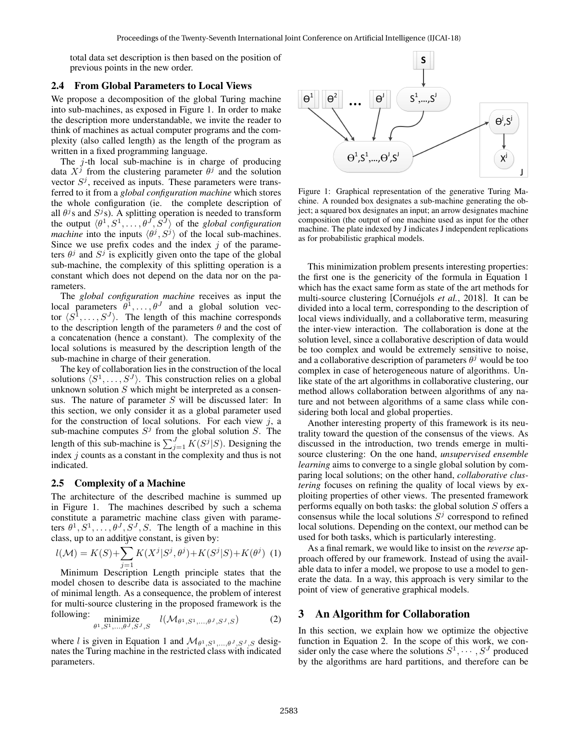total data set description is then based on the position of previous points in the new order.

### 2.4 From Global Parameters to Local Views

We propose a decomposition of the global Turing machine into sub-machines, as exposed in Figure 1. In order to make the description more understandable, we invite the reader to think of machines as actual computer programs and the complexity (also called length) as the length of the program as written in a fixed programming language.

The  $j$ -th local sub-machine is in charge of producing data  $X^j$  from the clustering parameter  $\theta^j$  and the solution vector  $S^j$ , received as inputs. These parameters were transferred to it from a *global configuration machine* which stores the whole configuration (ie. the complete description of all  $\theta$ <sup>j</sup>s and  $S$ <sup>j</sup>s). A splitting operation is needed to transform the output  $\langle \theta^1, S^1, \ldots, \theta^J, S^J \rangle$  of the *global configuration machine* into the inputs  $\langle \theta^j, S^j \rangle$  of the local sub-machines. Since we use prefix codes and the index  $j$  of the parameters  $\theta^j$  and  $S^j$  is explicitly given onto the tape of the global sub-machine, the complexity of this splitting operation is a constant which does not depend on the data nor on the parameters.

The *global configuration machine* receives as input the local parameters  $\theta^1, \ldots, \theta^J$  and a global solution vector  $\langle S^1, \ldots, S^J \rangle$ . The length of this machine corresponds to the description length of the parameters  $\theta$  and the cost of a concatenation (hence a constant). The complexity of the local solutions is measured by the description length of the sub-machine in charge of their generation.

The key of collaboration lies in the construction of the local solutions  $\langle S^1, \ldots, S^J \rangle$ . This construction relies on a global unknown solution  $S$  which might be interpreted as a consensus. The nature of parameter  $S$  will be discussed later: In this section, we only consider it as a global parameter used for the construction of local solutions. For each view  $j$ , a sub-machine computes  $S^j$  from the global solution S. The length of this sub-machine is  $\sum_{j=1}^{J} K(S^j|S)$ . Designing the index *i* counts as a constant in the complexity and thus is not indicated.

#### 2.5 Complexity of a Machine

The architecture of the described machine is summed up in Figure 1. The machines described by such a schema constitute a parametric machine class given with parameters  $\theta^1, S^1, \ldots, \theta^J, S^J, S$ . The length of a machine in this class, up to an additive constant, is given by:

$$
l(\mathcal{M}) = K(S) + \sum_{j=1} K(X^j | S^j, \theta^j) + K(S^j | S) + K(\theta^j) \tag{1}
$$

Minimum Description Length principle states that the model chosen to describe data is associated to the machine of minimal length. As a consequence, the problem of interest for multi-source clustering in the proposed framework is the following:

$$
\vdots \underset{\theta^1, S^1, \dots, \theta^J, S^J, S}{\text{minimize}} \quad l(\mathcal{M}_{\theta^1, S^1, \dots, \theta^J, S^J, S}) \tag{2}
$$

where l is given in Equation 1 and  $\mathcal{M}_{\theta^1, S^1, \dots, \theta^J, S^J, S}$  designates the Turing machine in the restricted class with indicated parameters.



Figure 1: Graphical representation of the generative Turing Machine. A rounded box designates a sub-machine generating the object; a squared box designates an input; an arrow designates machine composition (the output of one machine used as input for the other machine. The plate indexed by J indicates J independent replications as for probabilistic graphical models.

This minimization problem presents interesting properties: the first one is the genericity of the formula in Equation 1 which has the exact same form as state of the art methods for multi-source clustering [Cornuéjols *et al.*, 2018]. It can be divided into a local term, corresponding to the description of local views individually, and a collaborative term, measuring the inter-view interaction. The collaboration is done at the solution level, since a collaborative description of data would be too complex and would be extremely sensitive to noise, and a collaborative description of parameters  $\theta^j$  would be too complex in case of heterogeneous nature of algorithms. Unlike state of the art algorithms in collaborative clustering, our method allows collaboration between algorithms of any nature and not between algorithms of a same class while considering both local and global properties.

Another interesting property of this framework is its neutrality toward the question of the consensus of the views. As discussed in the introduction, two trends emerge in multisource clustering: On the one hand, *unsupervised ensemble learning* aims to converge to a single global solution by comparing local solutions; on the other hand, *collaborative clustering* focuses on refining the quality of local views by exploiting properties of other views. The presented framework performs equally on both tasks: the global solution  $S$  offers a consensus while the local solutions  $S<sup>j</sup>$  correspond to refined local solutions. Depending on the context, our method can be used for both tasks, which is particularly interesting.

As a final remark, we would like to insist on the *reverse* approach offered by our framework. Instead of using the available data to infer a model, we propose to use a model to generate the data. In a way, this approach is very similar to the point of view of generative graphical models.

### 3 An Algorithm for Collaboration

In this section, we explain how we optimize the objective function in Equation 2. In the scope of this work, we consider only the case where the solutions  $S^1, \cdots, S^J$  produced by the algorithms are hard partitions, and therefore can be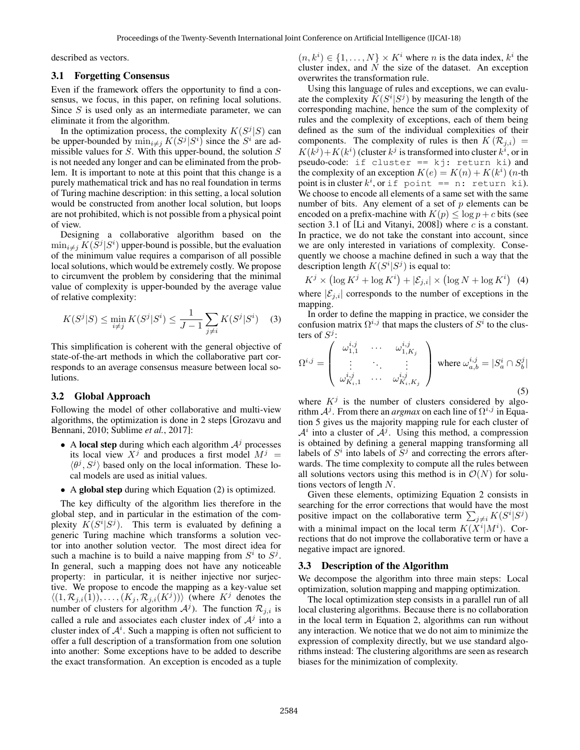described as vectors.

#### 3.1 Forgetting Consensus

Even if the framework offers the opportunity to find a consensus, we focus, in this paper, on refining local solutions. Since S is used only as an intermediate parameter, we can eliminate it from the algorithm.

In the optimization process, the complexity  $K(S^{j}|S)$  can be upper-bounded by  $\min_{i \neq j} K(S^j | S^i)$  since the  $S^i$  are admissible values for  $S$ . With this upper-bound, the solution  $S$ is not needed any longer and can be eliminated from the problem. It is important to note at this point that this change is a purely mathematical trick and has no real foundation in terms of Turing machine description: in this setting, a local solution would be constructed from another local solution, but loops are not prohibited, which is not possible from a physical point of view.

Designing a collaborative algorithm based on the  $\min_{i \neq j} K(\overline{S}^j | S^i)$  upper-bound is possible, but the evaluation of the minimum value requires a comparison of all possible local solutions, which would be extremely costly. We propose to circumvent the problem by considering that the minimal value of complexity is upper-bounded by the average value of relative complexity:

$$
K(S^{j}|S) \le \min_{i \neq j} K(S^{j}|S^{i}) \le \frac{1}{J-1} \sum_{j \neq i} K(S^{j}|S^{i}) \quad (3)
$$

This simplification is coherent with the general objective of state-of-the-art methods in which the collaborative part corresponds to an average consensus measure between local solutions.

### 3.2 Global Approach

Following the model of other collaborative and multi-view algorithms, the optimization is done in 2 steps [Grozavu and Bennani, 2010; Sublime *et al.*, 2017]:

- A local step during which each algorithm  $A<sup>j</sup>$  processes its local view  $X^j$  and produces a first model  $M^j =$  $\langle \theta^j, S^j \rangle$  based only on the local information. These local models are used as initial values.
- A global step during which Equation (2) is optimized.

The key difficulty of the algorithm lies therefore in the global step, and in particular in the estimation of the complexity  $K(S^i|S^j)$ . This term is evaluated by defining a generic Turing machine which transforms a solution vector into another solution vector. The most direct idea for such a machine is to build a naive mapping from  $S^i$  to  $S^j$ . In general, such a mapping does not have any noticeable property: in particular, it is neither injective nor surjective. We propose to encode the mapping as a key-value set  $\langle (1, \mathcal{R}_{j,i}(1)), \ldots, (K_j, \mathcal{R}_{j,i}(K^j)) \rangle$  (where  $K^j$  denotes the number of clusters for algorithm  $A<sup>j</sup>$ ). The function  $\mathcal{R}_{j,i}$  is called a rule and associates each cluster index of  $A<sup>j</sup>$  into a cluster index of  $A<sup>i</sup>$ . Such a mapping is often not sufficient to offer a full description of a transformation from one solution into another: Some exceptions have to be added to describe the exact transformation. An exception is encoded as a tuple

 $(n, k^i) \in \{1, \ldots, N\} \times K^i$  where *n* is the data index,  $k^i$  the cluster index, and  $\dot{N}$  the size of the dataset. An exception overwrites the transformation rule.

Using this language of rules and exceptions, we can evaluate the complexity  $K(S^i|S^j)$  by measuring the length of the corresponding machine, hence the sum of the complexity of rules and the complexity of exceptions, each of them being defined as the sum of the individual complexities of their components. The complexity of rules is then  $K(\mathcal{R}_{j,i}) =$  $K(k^{j})+K(k^{i})$  (cluster  $k^{j}$  is transformed into cluster  $k^{i}$ , or in pseudo-code: if cluster == kj: return ki) and the complexity of an exception  $K(e) = K(n) + K(k^i)$  (*n*-th point is in cluster  $k^i$ , or if point == n: return ki). We choose to encode all elements of a same set with the same number of bits. Any element of a set of  $p$  elements can be encoded on a prefix-machine with  $K(p) \leq \log p + c$  bits (see section 3.1 of [Li and Vitanyi, 2008]) where  $c$  is a constant. In practice, we do not take the constant into account, since we are only interested in variations of complexity. Consequently we choose a machine defined in such a way that the description length  $K(S^i|S^j)$  is equal to:

 $K^j \times (\log K^j + \log K^i) + |\mathcal{E}_{j,i}| \times (\log N + \log K^i)$  (4) where  $|\mathcal{E}_{i,i}|$  corresponds to the number of exceptions in the

mapping. In order to define the mapping in practice, we consider the confusion matrix  $\Omega^{i,j}$  that maps the clusters of  $S^i$  to the clusters of  $S^j$ :

$$
\Omega^{i,j} = \begin{pmatrix} \omega_{1,1}^{i,j} & \cdots & \omega_{1,K_j}^{i,j} \\ \vdots & \ddots & \vdots \\ \omega_{K_i,1}^{i,j} & \cdots & \omega_{K_i,K_j}^{i,j} \end{pmatrix} \text{ where } \omega_{a,b}^{i,j} = |S_a^i \cap S_b^j|
$$
\n(5)

where  $K^{j}$  is the number of clusters considered by algorithm  $A^j$ . From there an *argmax* on each line of  $\Omega^{i,j}$  in Equation 5 gives us the majority mapping rule for each cluster of  $A^i$  into a cluster of  $A^j$ . Using this method, a compression is obtained by defining a general mapping transforming all labels of  $S<sup>i</sup>$  into labels of  $S<sup>j</sup>$  and correcting the errors afterwards. The time complexity to compute all the rules between all solutions vectors using this method is in  $\mathcal{O}(N)$  for solutions vectors of length N.

Given these elements, optimizing Equation 2 consists in searching for the error corrections that would have the most positive impact on the collaborative term  $\sum_{j\neq i} K(S^i|S^j)$ with a minimal impact on the local term  $K(X^{i}|M^{i})$ . Corrections that do not improve the collaborative term or have a negative impact are ignored.

### 3.3 Description of the Algorithm

We decompose the algorithm into three main steps: Local optimization, solution mapping and mapping optimization.

The local optimization step consists in a parallel run of all local clustering algorithms. Because there is no collaboration in the local term in Equation 2, algorithms can run without any interaction. We notice that we do not aim to minimize the expression of complexity directly, but we use standard algorithms instead: The clustering algorithms are seen as research biases for the minimization of complexity.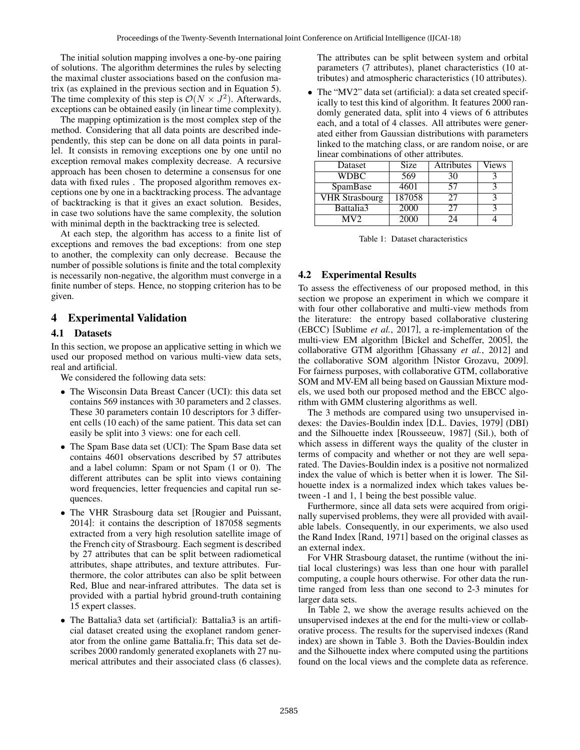The initial solution mapping involves a one-by-one pairing of solutions. The algorithm determines the rules by selecting the maximal cluster associations based on the confusion matrix (as explained in the previous section and in Equation 5). The time complexity of this step is  $\mathcal{O}(N \times J^2)$ . Afterwards, exceptions can be obtained easily (in linear time complexity).

The mapping optimization is the most complex step of the method. Considering that all data points are described independently, this step can be done on all data points in parallel. It consists in removing exceptions one by one until no exception removal makes complexity decrease. A recursive approach has been chosen to determine a consensus for one data with fixed rules . The proposed algorithm removes exceptions one by one in a backtracking process. The advantage of backtracking is that it gives an exact solution. Besides, in case two solutions have the same complexity, the solution with minimal depth in the backtracking tree is selected.

At each step, the algorithm has access to a finite list of exceptions and removes the bad exceptions: from one step to another, the complexity can only decrease. Because the number of possible solutions is finite and the total complexity is necessarily non-negative, the algorithm must converge in a finite number of steps. Hence, no stopping criterion has to be given.

## 4 Experimental Validation

### 4.1 Datasets

In this section, we propose an applicative setting in which we used our proposed method on various multi-view data sets, real and artificial.

We considered the following data sets:

- The Wisconsin Data Breast Cancer (UCI): this data set contains 569 instances with 30 parameters and 2 classes. These 30 parameters contain 10 descriptors for 3 different cells (10 each) of the same patient. This data set can easily be split into 3 views: one for each cell.
- The Spam Base data set (UCI): The Spam Base data set contains 4601 observations described by 57 attributes and a label column: Spam or not Spam (1 or 0). The different attributes can be split into views containing word frequencies, letter frequencies and capital run sequences.
- The VHR Strasbourg data set [Rougier and Puissant, 2014]: it contains the description of 187058 segments extracted from a very high resolution satellite image of the French city of Strasbourg. Each segment is described by 27 attributes that can be split between radiometical attributes, shape attributes, and texture attributes. Furthermore, the color attributes can also be split between Red, Blue and near-infrared attributes. The data set is provided with a partial hybrid ground-truth containing 15 expert classes.
- The Battalia3 data set (artificial): Battalia3 is an artificial dataset created using the exoplanet random generator from the online game Battalia.fr; This data set describes 2000 randomly generated exoplanets with 27 numerical attributes and their associated class (6 classes).

The attributes can be split between system and orbital parameters (7 attributes), planet characteristics (10 attributes) and atmospheric characteristics (10 attributes).

• The "MV2" data set (artificial): a data set created specifically to test this kind of algorithm. It features 2000 randomly generated data, split into 4 views of 6 attributes each, and a total of 4 classes. All attributes were generated either from Gaussian distributions with parameters linked to the matching class, or are random noise, or are linear combinations of other attributes.

| Dataset               | Size   | <b>Attributes</b> | Views |
|-----------------------|--------|-------------------|-------|
| <b>WDBC</b>           | 569    | 30                |       |
| SpamBase              | 4601   | 57                |       |
| <b>VHR Strasbourg</b> | 187058 | 27                |       |
| Battalia3             | 2000   |                   |       |
| MV2.                  | 2000   | 74                |       |

### 4.2 Experimental Results

To assess the effectiveness of our proposed method, in this section we propose an experiment in which we compare it with four other collaborative and multi-view methods from the literature: the entropy based collaborative clustering (EBCC) [Sublime *et al.*, 2017], a re-implementation of the multi-view EM algorithm [Bickel and Scheffer, 2005], the collaborative GTM algorithm [Ghassany *et al.*, 2012] and the collaborative SOM algorithm [Nistor Grozavu, 2009]. For fairness purposes, with collaborative GTM, collaborative SOM and MV-EM all being based on Gaussian Mixture models, we used both our proposed method and the EBCC algorithm with GMM clustering algorithms as well.

The 3 methods are compared using two unsupervised indexes: the Davies-Bouldin index [D.L. Davies, 1979] (DBI) and the Silhouette index [Rousseeuw, 1987] (Sil.), both of which assess in different ways the quality of the cluster in terms of compacity and whether or not they are well separated. The Davies-Bouldin index is a positive not normalized index the value of which is better when it is lower. The Silhouette index is a normalized index which takes values between -1 and 1, 1 being the best possible value.

Furthermore, since all data sets were acquired from originally supervised problems, they were all provided with available labels. Consequently, in our experiments, we also used the Rand Index [Rand, 1971] based on the original classes as an external index.

For VHR Strasbourg dataset, the runtime (without the initial local clusterings) was less than one hour with parallel computing, a couple hours otherwise. For other data the runtime ranged from less than one second to 2-3 minutes for larger data sets.

In Table 2, we show the average results achieved on the unsupervised indexes at the end for the multi-view or collaborative process. The results for the supervised indexes (Rand index) are shown in Table 3. Both the Davies-Bouldin index and the Silhouette index where computed using the partitions found on the local views and the complete data as reference.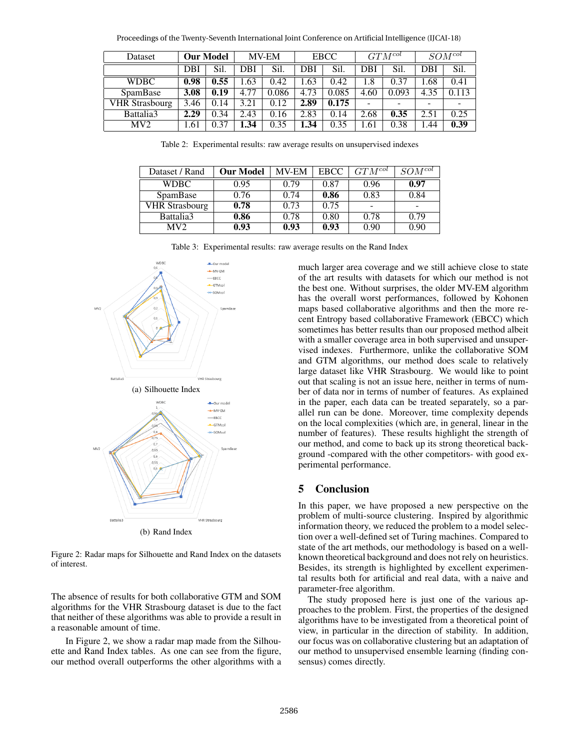Proceedings of the Twenty-Seventh International Joint Conference on Artificial Intelligence (IJCAI-18)

| Dataset               | <b>Our Model</b> |                  | <b>MV-EM</b> |       | <b>EBCC</b> |       | $GTM^{col}$ |                          | $SOM^{col}$                  |       |
|-----------------------|------------------|------------------|--------------|-------|-------------|-------|-------------|--------------------------|------------------------------|-------|
|                       | DBI              | Sil.             | DBI          | Sil.  | DBI         | Sil.  | DBI         | Sil.                     | <b>DBI</b>                   | Sil.  |
| <b>WDBC</b>           | 0.98             | 0.55             | .63          | 0.42  | .63         | 0.42  | .8          | 0.37                     | .68                          | 0.41  |
| SpamBase              | 3.08             | 0.19             | 4.77         | 0.086 | 4.73        | 0.085 | 4.60        | 0.093                    | 4.35                         | 0.113 |
| <b>VHR Strasbourg</b> | 3.46             | 14<br>$\theta$ . | 3.21         | 0.12  | 2.89        | 0.175 | -           | $\overline{\phantom{a}}$ | $\qquad \qquad \blacksquare$ | -     |
| Battalia3             | 2.29             | 0.34             | 2.43         | 0.16  | 2.83        | 0.14  | 2.68        | 0.35                     | 2.51                         | 0.25  |
| MV2                   | 1.61             | 0.37             | .34          | 0.35  | 1.34        | 0.35  | 1.61        | 0.38                     | .44                          | 0.39  |

Table 2: Experimental results: raw average results on unsupervised indexes

| Dataset / Rand        | <b>Our Model</b> | <b>MV-EM</b> | <b>EBCC</b> | $GTM^{col}$ | $SOM^{col}$ |
|-----------------------|------------------|--------------|-------------|-------------|-------------|
| WDBC-                 | 0.95             | 0.79         | 0.87        | 0.96        | 0.97        |
| SpamBase              | 0.76             | 0.74         | 0.86        | 0.83        | 0.84        |
| <b>VHR Strasbourg</b> | 0.78             | 0.73         | 0.75        |             |             |
| Battalia3             | 0.86             | 0.78         | 0.80        | 0.78        | 0.79        |
| MV2.                  | 0.93             | 0.93         | 0.93        | 0.90        | 0.90        |

Table 3: Experimental results: raw average results on the Rand Index



Figure 2: Radar maps for Silhouette and Rand Index on the datasets of interest.

The absence of results for both collaborative GTM and SOM algorithms for the VHR Strasbourg dataset is due to the fact that neither of these algorithms was able to provide a result in a reasonable amount of time.

In Figure 2, we show a radar map made from the Silhouette and Rand Index tables. As one can see from the figure, our method overall outperforms the other algorithms with a much larger area coverage and we still achieve close to state of the art results with datasets for which our method is not the best one. Without surprises, the older MV-EM algorithm has the overall worst performances, followed by Kohonen maps based collaborative algorithms and then the more recent Entropy based collaborative Framework (EBCC) which sometimes has better results than our proposed method albeit with a smaller coverage area in both supervised and unsupervised indexes. Furthermore, unlike the collaborative SOM and GTM algorithms, our method does scale to relatively large dataset like VHR Strasbourg. We would like to point out that scaling is not an issue here, neither in terms of number of data nor in terms of number of features. As explained in the paper, each data can be treated separately, so a parallel run can be done. Moreover, time complexity depends on the local complexities (which are, in general, linear in the number of features). These results highlight the strength of our method, and come to back up its strong theoretical background -compared with the other competitors- with good experimental performance.

## 5 Conclusion

In this paper, we have proposed a new perspective on the problem of multi-source clustering. Inspired by algorithmic information theory, we reduced the problem to a model selection over a well-defined set of Turing machines. Compared to state of the art methods, our methodology is based on a wellknown theoretical background and does not rely on heuristics. Besides, its strength is highlighted by excellent experimental results both for artificial and real data, with a naive and parameter-free algorithm.

The study proposed here is just one of the various approaches to the problem. First, the properties of the designed algorithms have to be investigated from a theoretical point of view, in particular in the direction of stability. In addition, our focus was on collaborative clustering but an adaptation of our method to unsupervised ensemble learning (finding consensus) comes directly.